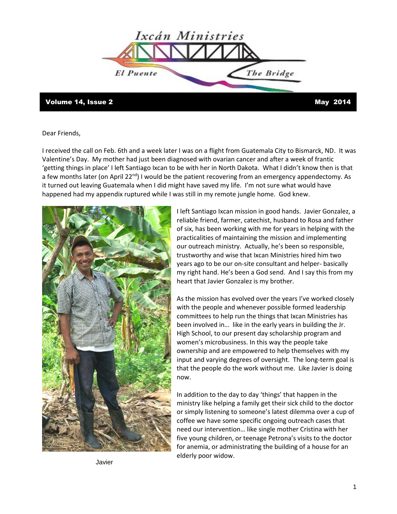

## Volume 14, Issue 2 and 2014

Dear Friends,

I received the call on Feb. 6th and a week later I was on a flight from Guatemala City to Bismarck, ND. It was Valentine's Day. My mother had just been diagnosed with ovarian cancer and after a week of frantic 'getting things in place' I left Santiago Ixcan to be with her in North Dakota. What I didn't know then is that a few months later (on April 22<sup>nd</sup>) I would be the patient recovering from an emergency appendectomy. As it turned out leaving Guatemala when I did might have saved my life. I'm not sure what would have happened had my appendix ruptured while I was still in my remote jungle home. God knew.



I left Santiago Ixcan mission in good hands. Javier Gonzalez, a reliable friend, farmer, catechist, husband to Rosa and father of six, has been working with me for years in helping with the practicalities of maintaining the mission and implementing our outreach ministry. Actually, he's been so responsible, trustworthy and wise that Ixcan Ministries hired him two years ago to be our on-site consultant and helper- basically my right hand. He's been a God send. And I say this from my heart that Javier Gonzalez is my brother.

As the mission has evolved over the years I've worked closely with the people and whenever possible formed leadership committees to help run the things that Ixcan Ministries has been involved in… like in the early years in building the Jr. High School, to our present day scholarship program and women's microbusiness. In this way the people take ownership and are empowered to help themselves with my input and varying degrees of oversight. The long-term goal is that the people do the work without me. Like Javier is doing now.

In addition to the day to day 'things' that happen in the ministry like helping a family get their sick child to the doctor or simply listening to someone's latest dilemma over a cup of coffee we have some specific ongoing outreach cases that need our intervention… like single mother Cristina with her five young children, or teenage Petrona's visits to the doctor for anemia, or administrating the building of a house for an elderly poor widow.

Javier